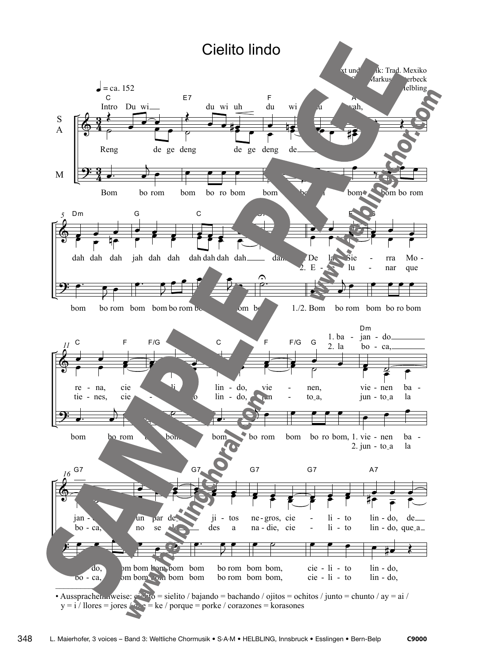